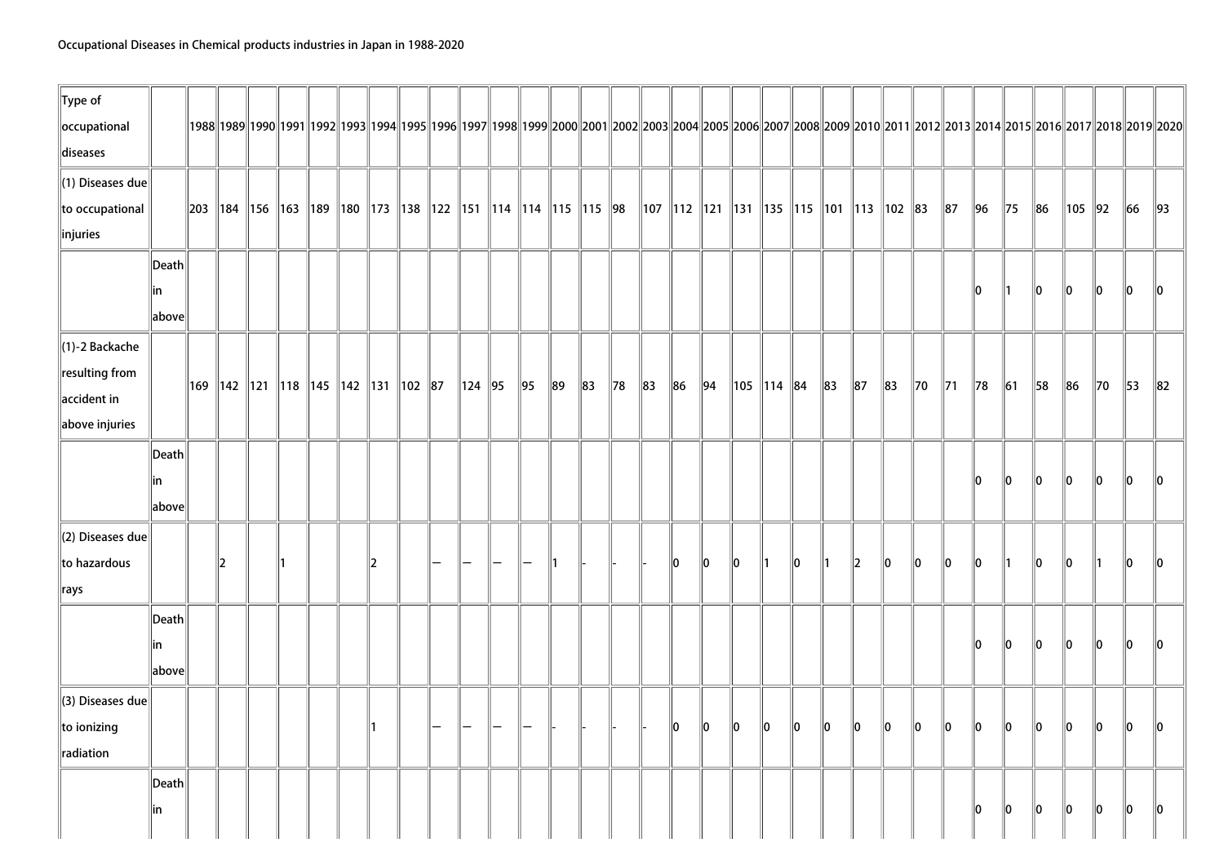| $\ $ Type of<br>occupational |                 |    |  |  |    |                                                                                        |              |    |          |          |         |          |          |                                                                                                                                                                |         |                           |         |          |             |          |                |                |                |                |         |          |                |                | 1992  1992  1992  1992  1993  1994  1995  1996  1997  1998  1999  2000  2001  2002  2003  2004  2005  2006  2007  2008  2009  2010  2011  2012  2013  2014  2015  2016  2017  2018  2019 |
|------------------------------|-----------------|----|--|--|----|----------------------------------------------------------------------------------------|--------------|----|----------|----------|---------|----------|----------|----------------------------------------------------------------------------------------------------------------------------------------------------------------|---------|---------------------------|---------|----------|-------------|----------|----------------|----------------|----------------|----------------|---------|----------|----------------|----------------|------------------------------------------------------------------------------------------------------------------------------------------------------------------------------------------|
| diseases                     |                 |    |  |  |    |                                                                                        |              |    |          |          |         |          |          |                                                                                                                                                                |         |                           |         |          |             |          |                |                |                |                |         |          |                |                |                                                                                                                                                                                          |
| $\parallel$ (1) Diseases due |                 |    |  |  |    |                                                                                        |              |    |          |          |         |          |          |                                                                                                                                                                |         |                           |         |          |             |          |                |                |                |                |         |          |                |                |                                                                                                                                                                                          |
| to occupational              |                 |    |  |  |    | 203   184   156   163   189   180   173   138   122   151   114   114   115   115   98 |              |    |          |          |         |          |          | $\parallel$ 107 $\parallel$ 112 $\parallel$ 121 $\parallel$ 131 $\parallel$ 135 $\parallel$ 115 $\parallel$ 101 $\parallel$ 113 $\parallel$ 102 $\parallel$ 83 |         |                           |         |          |             |          |                | $\parallel$ 87 | $\parallel$ 96 | $\parallel$ 75 | $\ 86$  | 105   92 |                | $\ 66$         | $\parallel$ 93                                                                                                                                                                           |
| injuries                     |                 |    |  |  |    |                                                                                        |              |    |          |          |         |          |          |                                                                                                                                                                |         |                           |         |          |             |          |                |                |                |                |         |          |                |                |                                                                                                                                                                                          |
|                              | $\ $ Death $\ $ |    |  |  |    |                                                                                        |              |    |          |          |         |          |          |                                                                                                                                                                |         |                           |         |          |             |          |                |                |                |                |         |          |                |                |                                                                                                                                                                                          |
|                              | in              |    |  |  |    |                                                                                        |              |    |          |          |         |          |          |                                                                                                                                                                |         |                           |         |          |             |          |                |                | 10             | ∥1             | 10      | 10       | $\parallel$ 0  | 10             | 10                                                                                                                                                                                       |
|                              | above           |    |  |  |    |                                                                                        |              |    |          |          |         |          |          |                                                                                                                                                                |         |                           |         |          |             |          |                |                |                |                |         |          |                |                |                                                                                                                                                                                          |
| $\parallel$ (1)-2 Backache   |                 |    |  |  |    |                                                                                        |              |    |          |          |         |          |          |                                                                                                                                                                |         |                           |         |          |             |          |                |                |                |                |         |          |                |                |                                                                                                                                                                                          |
| $\ $ resulting from          |                 |    |  |  |    | 169   142   121   118   145   142   131   102   87                                     | $\ 124\ $ 95 | 95 | $\ 89\ $ | $\ 83\ $ | $\ $ 78 | $\ 83\ $ | $\ 86\ $ | $\vert$ 94                                                                                                                                                     |         | $\ $ 105 $\ $ 114 $\ $ 84 |         | $\ 83\ $ | $\ 87$      | $\ 83\ $ | $\parallel$ 70 | $\parallel$ 71 | $\parallel$ 78 | $\vert$ 61     | 58      | $\ 86\ $ | $\parallel$ 70 | $\parallel$ 53 | $\ 82\ $                                                                                                                                                                                 |
| $\parallel$ accident in      |                 |    |  |  |    |                                                                                        |              |    |          |          |         |          |          |                                                                                                                                                                |         |                           |         |          |             |          |                |                |                |                |         |          |                |                |                                                                                                                                                                                          |
| above injuries               |                 |    |  |  |    |                                                                                        |              |    |          |          |         |          |          |                                                                                                                                                                |         |                           |         |          |             |          |                |                |                |                |         |          |                |                |                                                                                                                                                                                          |
|                              | Death           |    |  |  |    |                                                                                        |              |    |          |          |         |          |          |                                                                                                                                                                |         |                           |         |          |             |          |                |                |                |                |         |          |                |                |                                                                                                                                                                                          |
|                              | lin             |    |  |  |    |                                                                                        |              |    |          |          |         |          |          |                                                                                                                                                                |         |                           |         |          |             |          |                |                | 10             | 10             | 10      | 10       | 10             | 10             | 10                                                                                                                                                                                       |
|                              | above           |    |  |  |    |                                                                                        |              |    |          |          |         |          |          |                                                                                                                                                                |         |                           |         |          |             |          |                |                |                |                |         |          |                |                |                                                                                                                                                                                          |
| $\parallel$ (2) Diseases due |                 |    |  |  |    |                                                                                        |              |    |          |          |         |          |          |                                                                                                                                                                |         |                           |         |          |             |          |                |                |                |                |         |          |                |                |                                                                                                                                                                                          |
| to hazardous                 |                 | 12 |  |  | 12 |                                                                                        |              |    |          |          |         |          | 10       | llo.                                                                                                                                                           | 10      | $\parallel$ 1             | 10      | ∥1       | 2           | llo.     | 10             | 10             | ∥O             | ∥1             | ∥O      | 110      | ∥1             | llo.           | $\mathsf{I}$ 10                                                                                                                                                                          |
| $\parallel$ rays             |                 |    |  |  |    |                                                                                        |              |    |          |          |         |          |          |                                                                                                                                                                |         |                           |         |          |             |          |                |                |                |                |         |          |                |                |                                                                                                                                                                                          |
|                              | Death           |    |  |  |    |                                                                                        |              |    |          |          |         |          |          |                                                                                                                                                                |         |                           |         |          |             |          |                |                |                |                |         |          |                |                |                                                                                                                                                                                          |
|                              | in              |    |  |  |    |                                                                                        |              |    |          |          |         |          |          |                                                                                                                                                                |         |                           |         |          |             |          |                |                | 10             | 10             | 10      | 10       | 10             | 10             | $\parallel$ 0                                                                                                                                                                            |
|                              | above           |    |  |  |    |                                                                                        |              |    |          |          |         |          |          |                                                                                                                                                                |         |                           |         |          |             |          |                |                |                |                |         |          |                |                |                                                                                                                                                                                          |
| (3) Diseases due             |                 |    |  |  |    |                                                                                        |              |    |          |          |         |          |          |                                                                                                                                                                |         |                           |         |          |             |          |                |                |                |                |         |          |                |                |                                                                                                                                                                                          |
| $\ $ to ionizing             |                 |    |  |  |    |                                                                                        |              |    |          |          |         |          | 10       | $\ 0\ $                                                                                                                                                        | $\ 0\ $ | $\ 0\ $                   | $\ 0\ $ | $\ 0\ $  | $ 0\rangle$ | $\ 0\ $  | $\ 0\ $        | $\ 0\ $        | $\ 0\ $        | $\ 0\ $        | $\ 0\ $ | $\ 0\ $  | $\ 0\ $        | $\ 0\ $        | $\ 0\ $                                                                                                                                                                                  |
| radiation                    |                 |    |  |  |    |                                                                                        |              |    |          |          |         |          |          |                                                                                                                                                                |         |                           |         |          |             |          |                |                |                |                |         |          |                |                |                                                                                                                                                                                          |
|                              | Death           |    |  |  |    |                                                                                        |              |    |          |          |         |          |          |                                                                                                                                                                |         |                           |         |          |             |          |                |                |                |                |         |          |                |                |                                                                                                                                                                                          |
|                              | lin             |    |  |  |    |                                                                                        |              |    |          |          |         |          |          |                                                                                                                                                                |         |                           |         |          |             |          |                |                | 10             | 10             | 10      | 10       | 10             | 10             | 10                                                                                                                                                                                       |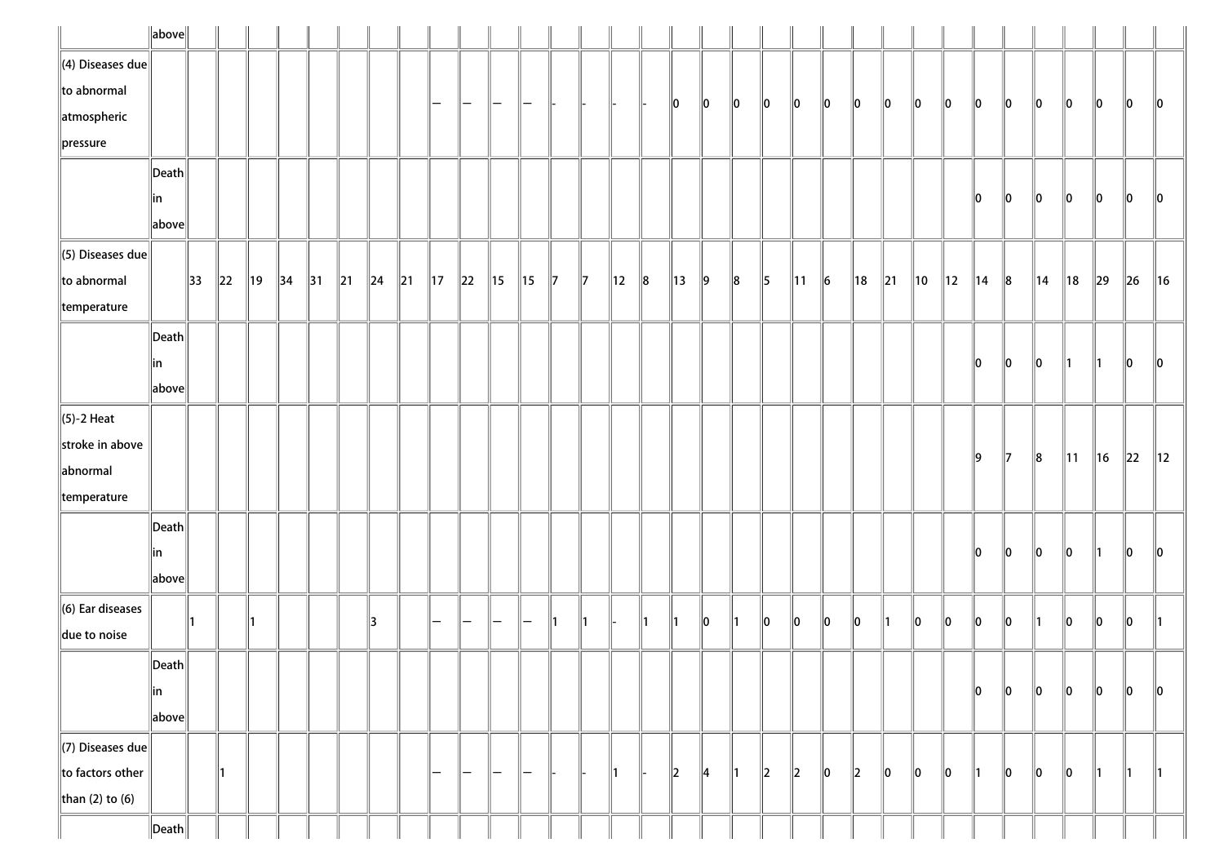|                          | $\ $ above $\ $       |                |          |                |                |                |                |                |                |                |          |                |                |               |             |                |               |                          |               |               |               |                |           |     |                |                |                |                |       |                |                |          |        |                |
|--------------------------|-----------------------|----------------|----------|----------------|----------------|----------------|----------------|----------------|----------------|----------------|----------|----------------|----------------|---------------|-------------|----------------|---------------|--------------------------|---------------|---------------|---------------|----------------|-----------|-----|----------------|----------------|----------------|----------------|-------|----------------|----------------|----------|--------|----------------|
| $\ $ (4) Diseases due    |                       |                |          |                |                |                |                |                |                |                |          |                |                |               |             |                |               |                          |               |               |               |                |           |     |                |                |                |                |       |                |                |          |        |                |
| $\ $ to abnormal         |                       |                |          |                |                |                |                |                |                | -              | —        |                |                |               |             |                |               | 10                       | 10            | $\ 0\ $       | 10            | 10             | 10        | 10  | 10             | 10             | 10             | 10             | 10    | 10             | 10             | 10       | 10     | $\ 0\ $        |
| atmospheric              |                       |                |          |                |                |                |                |                |                |                |          |                |                |               |             |                |               |                          |               |               |               |                |           |     |                |                |                |                |       |                |                |          |        |                |
| $\ $ pressure            |                       |                |          |                |                |                |                |                |                |                |          |                |                |               |             |                |               |                          |               |               |               |                |           |     |                |                |                |                |       |                |                |          |        |                |
|                          | $\vert$ Death $\vert$ |                |          |                |                |                |                |                |                |                |          |                |                |               |             |                |               |                          |               |               |               |                |           |     |                |                |                |                |       |                |                |          |        |                |
|                          | in                    |                |          |                |                |                |                |                |                |                |          |                |                |               |             |                |               |                          |               |               |               |                |           |     |                |                |                | 10             | 10    | 10             | 10             | 10       | 10     | 10             |
|                          | above                 |                |          |                |                |                |                |                |                |                |          |                |                |               |             |                |               |                          |               |               |               |                |           |     |                |                |                |                |       |                |                |          |        |                |
| $\ $ (5) Diseases due    |                       |                |          |                |                |                |                |                |                |                |          |                |                |               |             |                |               |                          |               |               |               |                |           |     |                |                |                |                |       |                |                |          |        |                |
| $\ $ to abnormal         |                       | $\parallel$ 33 | $\ 22\ $ | $\parallel$ 19 | $\parallel$ 34 | $\parallel$ 31 | $\parallel$ 21 | $\parallel$ 24 | $\parallel$ 21 | $\parallel$ 17 | $\ 22\ $ | $\parallel$ 15 | $\parallel$ 15 | $\parallel$ 7 | $\parallel$ | $\parallel$ 12 | $\ 8$         | $\parallel$ 13           | $\vert$ 9     | $\ 8$         | $\parallel$ 5 | $\parallel$ 11 | $\vert$ 6 | ∥18 | $\parallel$ 21 | $\parallel$ 10 | $\parallel$ 12 | $\parallel$ 14 | $\ 8$ | $\parallel$ 14 | ∥18            | $\ 29\ $ | $\ 26$ | $\parallel$ 16 |
| $\parallel$ temperature  |                       |                |          |                |                |                |                |                |                |                |          |                |                |               |             |                |               |                          |               |               |               |                |           |     |                |                |                |                |       |                |                |          |        |                |
|                          | $\vert$ Death $\vert$ |                |          |                |                |                |                |                |                |                |          |                |                |               |             |                |               |                          |               |               |               |                |           |     |                |                |                |                |       |                |                |          |        |                |
|                          | in                    |                |          |                |                |                |                |                |                |                |          |                |                |               |             |                |               |                          |               |               |               |                |           |     |                |                |                | 10             | 10    | 10             | 11             | 11       | 10     | 10             |
|                          | above                 |                |          |                |                |                |                |                |                |                |          |                |                |               |             |                |               |                          |               |               |               |                |           |     |                |                |                |                |       |                |                |          |        |                |
| $\ $ (5)-2 Heat          |                       |                |          |                |                |                |                |                |                |                |          |                |                |               |             |                |               |                          |               |               |               |                |           |     |                |                |                |                |       |                |                |          |        |                |
| stroke in above          |                       |                |          |                |                |                |                |                |                |                |          |                |                |               |             |                |               |                          |               |               |               |                |           |     |                |                |                | ∥9             | 17    | $\ 8$          | $\parallel$ 11 | ∥16      | 22     | 12             |
| abnormal                 |                       |                |          |                |                |                |                |                |                |                |          |                |                |               |             |                |               |                          |               |               |               |                |           |     |                |                |                |                |       |                |                |          |        |                |
| $\parallel$ temperature  |                       |                |          |                |                |                |                |                |                |                |          |                |                |               |             |                |               |                          |               |               |               |                |           |     |                |                |                |                |       |                |                |          |        |                |
|                          | $\vert$ Death $\vert$ |                |          |                |                |                |                |                |                |                |          |                |                |               |             |                |               |                          |               |               |               |                |           |     |                |                |                |                |       |                |                |          |        |                |
|                          | in                    |                |          |                |                |                |                |                |                |                |          |                |                |               |             |                |               |                          |               |               |               |                |           |     |                |                |                | 10             | 10    | $\ 0\ $        | 10             | 11       | 10     | 10             |
|                          | above                 |                |          |                |                |                |                |                |                |                |          |                |                |               |             |                |               |                          |               |               |               |                |           |     |                |                |                |                |       |                |                |          |        |                |
| $\ $ (6) Ear diseases    |                       |                |          |                |                |                |                | 13             |                |                | -        | —              | —              | $\parallel$ 1 | ∥1          |                | $\parallel$ 1 | 11                       | llo.          | 11            | 10            | 10             | 10        | 10  | 11             | 10             | llo            | llo            | ∥o    | 11             | 10             | 10       | 10     | ∥1             |
| due to noise             |                       |                |          |                |                |                |                |                |                |                |          |                |                |               |             |                |               |                          |               |               |               |                |           |     |                |                |                |                |       |                |                |          |        |                |
|                          | $\ $ Death $\ $       |                |          |                |                |                |                |                |                |                |          |                |                |               |             |                |               |                          |               |               |               |                |           |     |                |                |                |                |       |                |                |          |        |                |
|                          | ∥in                   |                |          |                |                |                |                |                |                |                |          |                |                |               |             |                |               |                          |               |               |               |                |           |     |                |                |                | 10             | ∥o    | $\ 0\ $        | 10             | 10       | 10     | 10             |
|                          | above                 |                |          |                |                |                |                |                |                |                |          |                |                |               |             |                |               |                          |               |               |               |                |           |     |                |                |                |                |       |                |                |          |        |                |
| $\Vert$ (7) Diseases due |                       |                |          |                |                |                |                |                |                |                |          |                |                |               |             |                |               |                          |               |               |               |                |           |     |                |                |                |                |       |                |                |          |        |                |
| to factors other         |                       |                | ∥1       |                |                |                |                |                |                | —              | —        | $\overline{}$  | —              |               |             | ∥1             |               | $\parallel$ <sub>2</sub> | $\parallel$ 4 | $\parallel$ 1 | $\ 2\ $       | 2              | 10        | 2   | 10             | 10             | 10             | ∥1             | 10    | 10             | 10             | 11       | 11.    | $\parallel$ 1  |
| than (2) to (6)          |                       |                |          |                |                |                |                |                |                |                |          |                |                |               |             |                |               |                          |               |               |               |                |           |     |                |                |                |                |       |                |                |          |        |                |
|                          | $\ $ Death $\ $       |                |          |                |                |                |                |                |                |                |          |                |                |               |             |                |               |                          |               |               |               |                |           |     |                |                |                |                |       |                |                |          |        |                |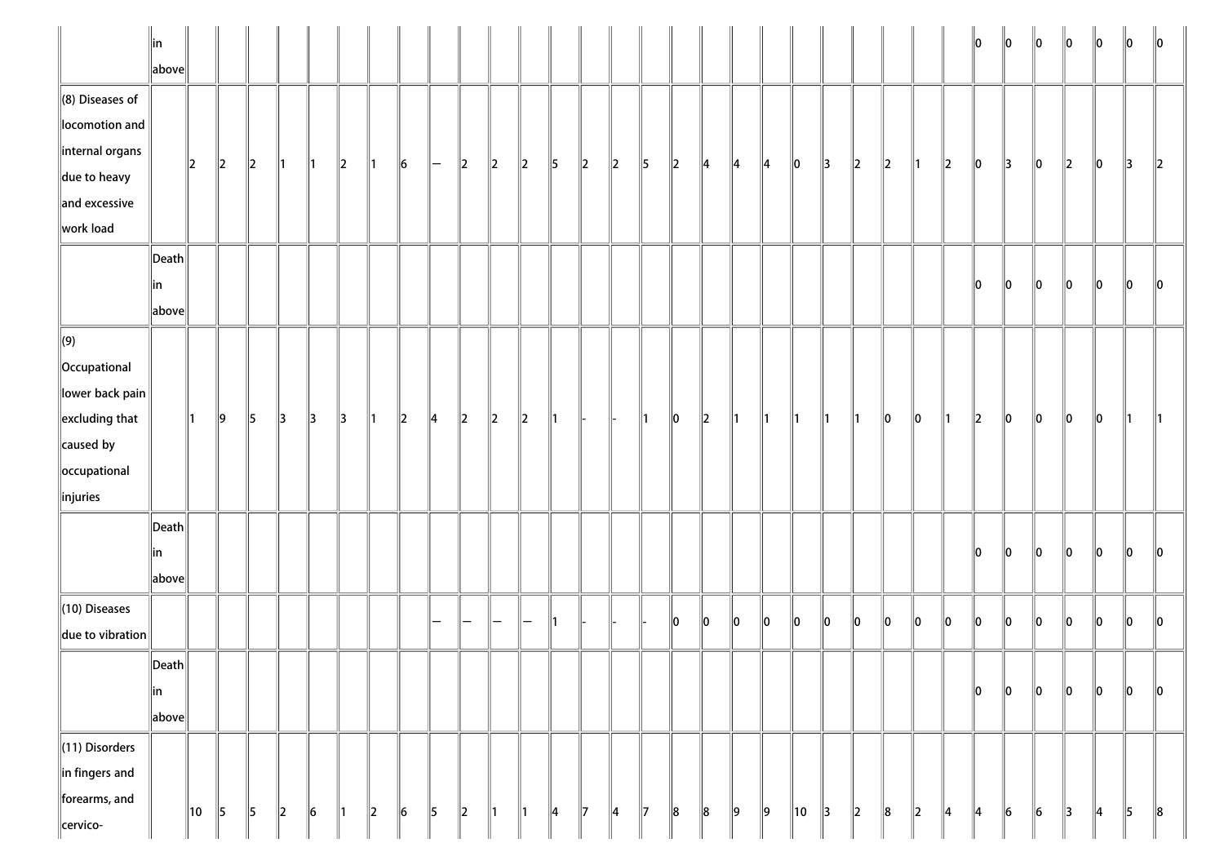|                                                                                                                                          | in<br>above                               |     |         |               |               |               |         |               |         |               |               |         |               |               |               |         |               |         |         |               |         |    |               |         |         |         |               | 10            | $\ 0\ $ | $\ 0\ $ | $\ 0\ $       | $\ 0\ $       | $\ 0\ $       | $\parallel$ 0            |
|------------------------------------------------------------------------------------------------------------------------------------------|-------------------------------------------|-----|---------|---------------|---------------|---------------|---------|---------------|---------|---------------|---------------|---------|---------------|---------------|---------------|---------|---------------|---------|---------|---------------|---------|----|---------------|---------|---------|---------|---------------|---------------|---------|---------|---------------|---------------|---------------|--------------------------|
| $\parallel$ (8) Diseases of<br>locomotion and<br>internal organs                                                                         |                                           | 2   | $\ 2\ $ | 2             | 11            | 11            | $\ 2\ $ | 11            | $\ 6\ $ | l —           | $\ 2\ $       | $\ 2\ $ | $\ 2\ $       | $\parallel$ 5 | $\ 2\ $       | $\ 2\ $ | $\parallel$ 5 | $\ 2\ $ | 14      | 4             | 14      | 0  | $\parallel$ 3 | $\ 2\ $ | $\ 2\ $ | ∥1      | $\ 2\ $       | $\ 0\ $       | 3       | $\ 0\ $ | $\ 2\ $       | $\ 0\ $       | $\parallel$ 3 | $\parallel$ <sub>2</sub> |
| $\parallel$ due to heavy<br>$\parallel$ and excessive<br>work load                                                                       |                                           |     |         |               |               |               |         |               |         |               |               |         |               |               |               |         |               |         |         |               |         |    |               |         |         |         |               |               |         |         |               |               |               |                          |
|                                                                                                                                          | $\ $ Death $\ $<br>∥in<br>$\ $ above $\ $ |     |         |               |               |               |         |               |         |               |               |         |               |               |               |         |               |         |         |               |         |    |               |         |         |         |               | 10            | $\ 0\ $ | $\ 0\ $ | $\ 0\ $       | $\ 0\ $       | $\ 0\ $       | 10                       |
| $\Vert(9)\Vert$<br>Occupational<br>$\ $ lower back pain $\ $<br>$\parallel$ excluding that<br>caused by<br>occupational<br>$\ $ injuries |                                           | 11. | 9       | $\parallel$ 5 | $\parallel$ 3 | $\parallel$ 3 | 3       | $\parallel$ 1 | $\ 2\ $ | $\parallel$ 4 | $\parallel$ 2 | $\ 2\ $ | $\ 2\ $       | 11            |               |         | 11            | 10      | $\ 2\ $ | ∥1            | 11      | ∥1 | ∥1            | ∥1      | $\ 0\ $ | $\ 0\ $ | 11            | $\ 2\ $       | $\ 0\ $ | $\ 0\ $ | $\ 0\ $       | $\ 0\ $       | 11            |                          |
|                                                                                                                                          | $\ $ Death $\ $<br>∥in<br>$\ $ above $\ $ |     |         |               |               |               |         |               |         |               |               |         |               |               |               |         |               |         |         |               |         |    |               |         |         |         |               | 10            | 10      | llo.    | 10            | llo           | 10            | ll0                      |
| $\ $ (10) Diseases<br>$\ $ due to vibration $\ $                                                                                         |                                           |     |         |               |               |               |         |               |         |               |               |         |               | 11            |               |         |               | 10      | 10      | 10            | lo      | 10 | lo            | $\ _0$  | $\ _0$  | $\ _0$  | $\ _0$        | $\ _0$        | $\ _0$  | $\ _0$  | $\ _0$        | $\ _0$        | $\ _0$        | llo                      |
|                                                                                                                                          | $\ $ Death $\ $<br> in<br>$\ $ above $\ $ |     |         |               |               |               |         |               |         |               |               |         |               |               |               |         |               |         |         |               |         |    |               |         |         |         |               | $\ 0\ $       | $\ _0$  | $\ _0$  | $\ _0$        | $\ _0$        | $\ _0$        | $\ 0\ $                  |
| $\ $ (11) Disorders<br>in fingers and<br>forearms, and<br>cervico-                                                                       |                                           | 10  | 5       | $\parallel$ 5 | $\ 2\ $       | $\ 6$         | ∥1      | $\vert$ 2     | $\ 6$   | $\parallel$ 5 | $\ 2\ $       | 1       | $\parallel$ 1 | 4             | $\parallel$ 7 | 4       | $\parallel$ 7 | $\ 8$   | $\ 8$   | $\parallel$ 9 | $\ 9\ $ | 10 | 3             | $\ 2\ $ | $\ 8$   | $\ 2\ $ | $\parallel$ 4 | $\parallel$ 4 | $\ 6$   | $\ 6$   | $\parallel$ 3 | $\parallel$ 4 | $\parallel$ 5 | $\ 8$                    |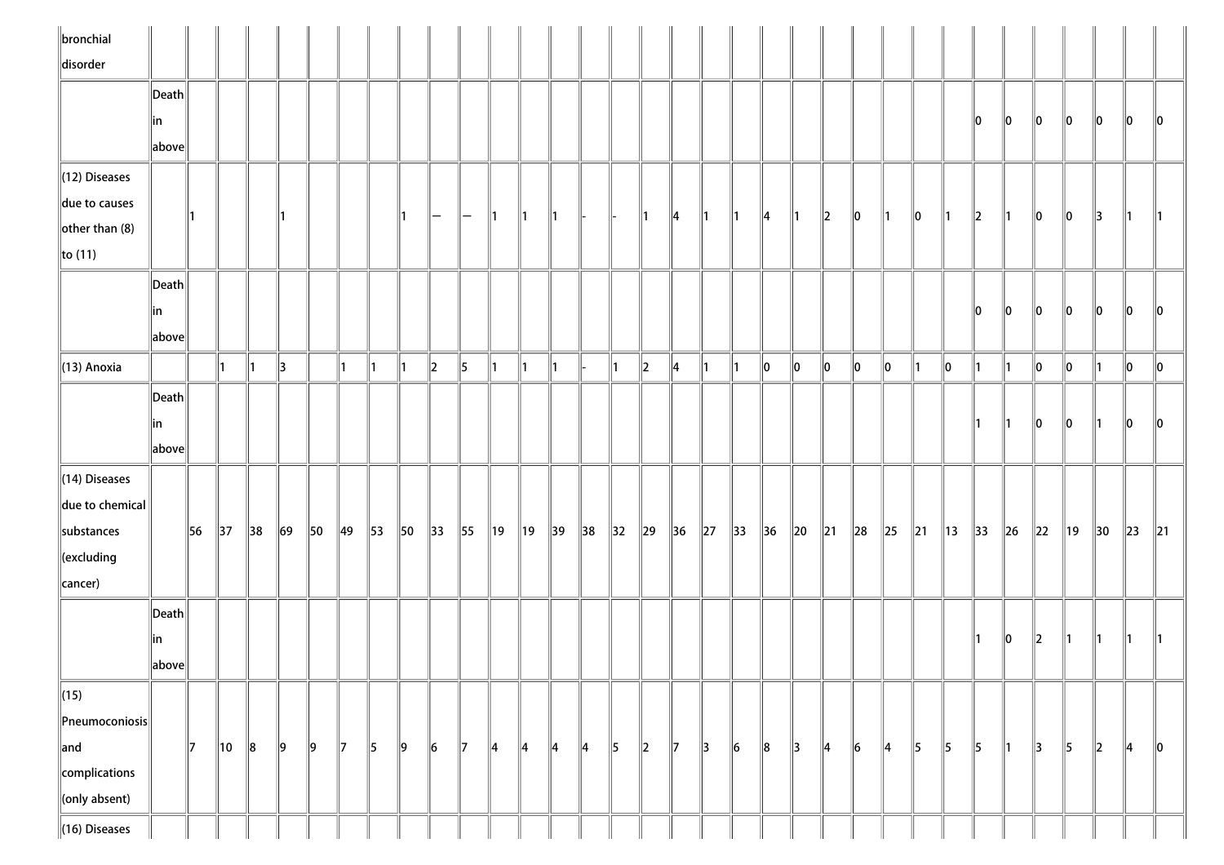| disorder<br>$\vert$ Death $\vert$                                                                                                                                                                                                                                                                                                                                                                                                                                    | 10<br>llo.         |
|----------------------------------------------------------------------------------------------------------------------------------------------------------------------------------------------------------------------------------------------------------------------------------------------------------------------------------------------------------------------------------------------------------------------------------------------------------------------|--------------------|
|                                                                                                                                                                                                                                                                                                                                                                                                                                                                      |                    |
|                                                                                                                                                                                                                                                                                                                                                                                                                                                                      |                    |
| 10<br>10<br>10<br>10<br>10<br> in                                                                                                                                                                                                                                                                                                                                                                                                                                    |                    |
| above                                                                                                                                                                                                                                                                                                                                                                                                                                                                |                    |
| $\parallel$ (12) Diseases                                                                                                                                                                                                                                                                                                                                                                                                                                            |                    |
| due to causes                                                                                                                                                                                                                                                                                                                                                                                                                                                        |                    |
| $\parallel$ 4<br>$\ 2\ $<br>$\ 0\ $<br>$\ 0\ $<br>$\parallel$ 2<br>10<br>10<br>13<br>$\parallel$ 4<br>$\parallel$ 1<br>$\parallel$ 1<br>$\parallel$ 1<br>$\parallel$ 1<br>11<br>∥1<br>$-$<br>∥1<br>$\mathsf{I}$<br>$\mathsf{I}$ 1<br>$-$<br>$\left\Vert$ other than (8)                                                                                                                                                                                              |                    |
| $\ $ to (11)                                                                                                                                                                                                                                                                                                                                                                                                                                                         |                    |
| $\ $ Death $\ $                                                                                                                                                                                                                                                                                                                                                                                                                                                      |                    |
| 10<br>10<br>10<br>10<br>10<br> in                                                                                                                                                                                                                                                                                                                                                                                                                                    | 10<br>10           |
| $\left\Vert \text{above}\right\Vert$                                                                                                                                                                                                                                                                                                                                                                                                                                 |                    |
| 5<br>$\parallel$ (13) Anoxia<br>$\ 2\ $<br>$\ 0\ $<br>$\ 0\ $<br>$\ 0\ $<br>$\ 0\ $<br>$\ 0\ $<br>$\parallel$ 3<br>$\ 2\ $<br>$\parallel$ 4<br>$\parallel$ 1<br>10<br>10<br>10<br>∥1<br>∥1<br>$\parallel$ 1<br>$\parallel$ 1<br>11<br>11<br>$\vert$ 1<br>$\parallel$ 1<br>$\parallel$ 1<br>∥1<br>∥1<br>$\parallel$ 1<br>11.<br>∥1                                                                                                                                    | $\ 0\ $<br>$\ 0\ $ |
|                                                                                                                                                                                                                                                                                                                                                                                                                                                                      |                    |
| Death                                                                                                                                                                                                                                                                                                                                                                                                                                                                |                    |
| 10<br>10<br> in<br>11<br>∥1                                                                                                                                                                                                                                                                                                                                                                                                                                          | 10<br>10           |
| above                                                                                                                                                                                                                                                                                                                                                                                                                                                                |                    |
| $\ $ (14) Diseases                                                                                                                                                                                                                                                                                                                                                                                                                                                   |                    |
| $\ $ due to chemical $\ $                                                                                                                                                                                                                                                                                                                                                                                                                                            |                    |
| 56<br>$\parallel$ 37<br>$\parallel$ 38<br>$\ 69\ $<br>$\parallel$ 49<br>substances<br>$\parallel$ 50<br>$\parallel$ 53<br>$\parallel$ 50<br>$\parallel$ 33<br>55<br>  19<br>$\parallel$ 19<br> 32 <br>$\ 29\ $<br>$\parallel$ 36<br>$\ 27\ $<br>$\parallel$ 33<br>$\parallel$ 30<br>$\parallel$ 39<br>38<br>$\parallel$ 36<br>$\parallel$ 20<br>$\parallel$ 21<br>$\ 28$<br>$\ 25$<br>$\ 21$<br>$\parallel$ 13<br>$\parallel$ 33<br>$\ 26$<br>$\parallel$ 22<br>  19 | $\ 21$<br>$\ 23\ $ |
| $\ $ (excluding                                                                                                                                                                                                                                                                                                                                                                                                                                                      |                    |
| cancer)                                                                                                                                                                                                                                                                                                                                                                                                                                                              |                    |
| $\vert$ Death $\vert$                                                                                                                                                                                                                                                                                                                                                                                                                                                |                    |
| 12<br>10<br> in                                                                                                                                                                                                                                                                                                                                                                                                                                                      |                    |
| above                                                                                                                                                                                                                                                                                                                                                                                                                                                                |                    |
| $\sqrt{(15)}$                                                                                                                                                                                                                                                                                                                                                                                                                                                        |                    |
| $\left\ $ Pneumoconiosis $\right $                                                                                                                                                                                                                                                                                                                                                                                                                                   |                    |
| $\parallel$ 9<br>$\parallel$ 9<br>$\ 6\ $<br>$\vert$ 6<br>$\parallel$ 4<br>5<br>  5<br>5<br>$\parallel$ 5<br>$\ 2\ $<br>$\parallel$ 10<br>$\parallel$ 5<br>$\parallel$ 9<br>$\vert 6 \vert$<br>$\parallel$ 5<br>$\parallel$ 7<br>$\parallel$ 3<br>$\ 8$<br>$\parallel$ 3<br>$\parallel$ 4<br>13<br>$\ $ and<br>17<br>∥8<br>$\parallel$ 7<br>$\parallel$ 7<br>$\parallel$ 4<br>$\parallel$ 4<br>$\parallel$ 4<br>$\parallel$ 4<br>$\ 2\ $<br>11                       | $\ 0\ $<br>4       |
| complications                                                                                                                                                                                                                                                                                                                                                                                                                                                        |                    |
| $\ $ (only absent)                                                                                                                                                                                                                                                                                                                                                                                                                                                   |                    |
| $\ $ (16) Diseases                                                                                                                                                                                                                                                                                                                                                                                                                                                   |                    |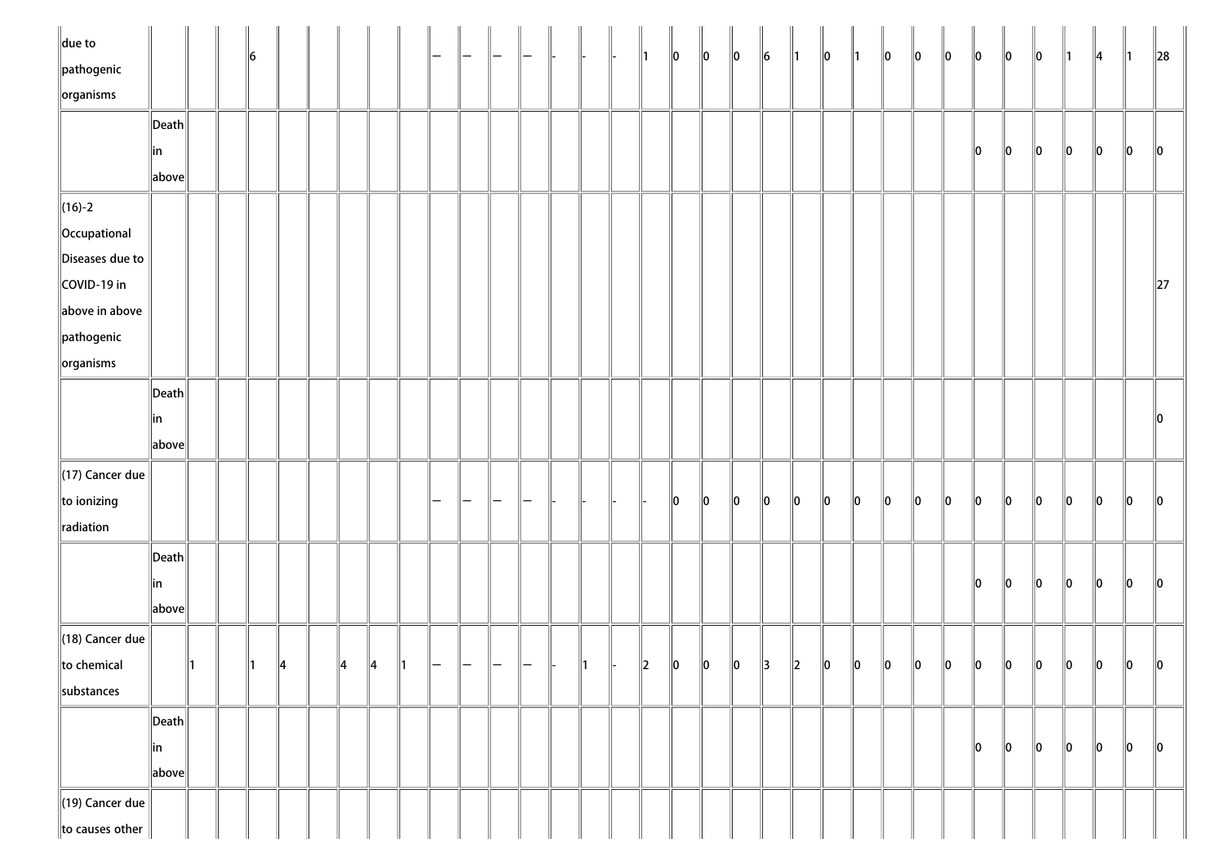| $\ $ due to                 |                                        |  | 16 |               |               |               |               |  |  |  | 11 | $\ 0\ $ | $\parallel$ 0 | $\ 0\ $ | $\ 6$   | $\parallel$ 1 | $\ 0\ $ | $\parallel$ 1 | $\ 0\ $ | $\ 0\ $ | $\ 0\ $ | $\ 0\ $ | $\ 0\ $ | $\ 0\ $ | 11      | $\parallel$ 4 | ∥1      | $\ 28$  |
|-----------------------------|----------------------------------------|--|----|---------------|---------------|---------------|---------------|--|--|--|----|---------|---------------|---------|---------|---------------|---------|---------------|---------|---------|---------|---------|---------|---------|---------|---------------|---------|---------|
| $\ $ pathogenic             |                                        |  |    |               |               |               |               |  |  |  |    |         |               |         |         |               |         |               |         |         |         |         |         |         |         |               |         |         |
| $\left\Vert$ organisms      |                                        |  |    |               |               |               |               |  |  |  |    |         |               |         |         |               |         |               |         |         |         |         |         |         |         |               |         |         |
|                             | $\ $ Death $\ $                        |  |    |               |               |               |               |  |  |  |    |         |               |         |         |               |         |               |         |         |         |         |         |         |         |               |         |         |
|                             | in                                     |  |    |               |               |               |               |  |  |  |    |         |               |         |         |               |         |               |         |         |         | 10      | $\ 0\ $ | 10      | $\ 0\ $ | 10            | 10      | 10      |
|                             | $\ $ above $\ $                        |  |    |               |               |               |               |  |  |  |    |         |               |         |         |               |         |               |         |         |         |         |         |         |         |               |         |         |
| $\ $ (16)-2                 |                                        |  |    |               |               |               |               |  |  |  |    |         |               |         |         |               |         |               |         |         |         |         |         |         |         |               |         |         |
| Occupational                |                                        |  |    |               |               |               |               |  |  |  |    |         |               |         |         |               |         |               |         |         |         |         |         |         |         |               |         |         |
| Diseases due to             |                                        |  |    |               |               |               |               |  |  |  |    |         |               |         |         |               |         |               |         |         |         |         |         |         |         |               |         |         |
| COVID-19 in                 |                                        |  |    |               |               |               |               |  |  |  |    |         |               |         |         |               |         |               |         |         |         |         |         |         |         |               |         | $\ 27$  |
| above in above              |                                        |  |    |               |               |               |               |  |  |  |    |         |               |         |         |               |         |               |         |         |         |         |         |         |         |               |         |         |
| $\ $ pathogenic             |                                        |  |    |               |               |               |               |  |  |  |    |         |               |         |         |               |         |               |         |         |         |         |         |         |         |               |         |         |
| $\left\Vert$ organisms      |                                        |  |    |               |               |               |               |  |  |  |    |         |               |         |         |               |         |               |         |         |         |         |         |         |         |               |         |         |
|                             | $\ $ Death $\ $                        |  |    |               |               |               |               |  |  |  |    |         |               |         |         |               |         |               |         |         |         |         |         |         |         |               |         |         |
|                             | ∥in                                    |  |    |               |               |               |               |  |  |  |    |         |               |         |         |               |         |               |         |         |         |         |         |         |         |               |         |         |
|                             | $\ $ above $\ $                        |  |    |               |               |               |               |  |  |  |    |         |               |         |         |               |         |               |         |         |         |         |         |         |         |               |         |         |
| $\parallel$ (17) Cancer due |                                        |  |    |               |               |               |               |  |  |  |    |         |               |         |         |               |         |               |         |         |         |         |         |         |         |               |         |         |
| $\ $ to ionizing            |                                        |  |    |               |               |               |               |  |  |  |    | 10      | 10            | $\ 0\ $ | $\ 0\ $ | 10            | $\ 0\ $ | 10            | $\ 0\ $ | 10      | 10      | 10      | 10      | 10      | llo     | lo.           | llo     | 10      |
| radiation                   |                                        |  |    |               |               |               |               |  |  |  |    |         |               |         |         |               |         |               |         |         |         |         |         |         |         |               |         |         |
|                             | $\left\Vert \mathsf{Death}\right\Vert$ |  |    |               |               |               |               |  |  |  |    |         |               |         |         |               |         |               |         |         |         |         |         |         |         |               |         |         |
|                             | in                                     |  |    |               |               |               |               |  |  |  |    |         |               |         |         |               |         |               |         |         |         | 10      | llo     | 10      | $\ 0\ $ | 10            | $\ 0\ $ | ll0     |
|                             | $\ $ above $\ $                        |  |    |               |               |               |               |  |  |  |    |         |               |         |         |               |         |               |         |         |         |         |         |         |         |               |         |         |
| $\parallel$ (18) Cancer due |                                        |  |    |               |               |               |               |  |  |  |    |         |               |         |         |               |         |               |         |         |         |         |         |         |         |               |         |         |
| $\ $ to chemical            |                                        |  |    | $\parallel 4$ | $\parallel$ 4 | $\parallel$ 4 | $\parallel$ 1 |  |  |  | 2  | $\ 0\ $ | 10            | 10      | 3       | 2             | 10      | 10            | 10      | 10      | 10      | 10      | 10      | 10      | 10      | 10            | 10      | 10      |
| substances                  |                                        |  |    |               |               |               |               |  |  |  |    |         |               |         |         |               |         |               |         |         |         |         |         |         |         |               |         |         |
|                             | $\left\Vert \mathsf{Death}\right\Vert$ |  |    |               |               |               |               |  |  |  |    |         |               |         |         |               |         |               |         |         |         |         |         |         |         |               |         |         |
|                             | in                                     |  |    |               |               |               |               |  |  |  |    |         |               |         |         |               |         |               |         |         |         | 10      | 10      | 10      | 10      | $\ 0\ $       | 10      | $\ 0\ $ |
|                             | $\ $ above $\ $                        |  |    |               |               |               |               |  |  |  |    |         |               |         |         |               |         |               |         |         |         |         |         |         |         |               |         |         |
| $\parallel$ (19) Cancer due |                                        |  |    |               |               |               |               |  |  |  |    |         |               |         |         |               |         |               |         |         |         |         |         |         |         |               |         |         |
| to causes other             |                                        |  |    |               |               |               |               |  |  |  |    |         |               |         |         |               |         |               |         |         |         |         |         |         |         |               |         |         |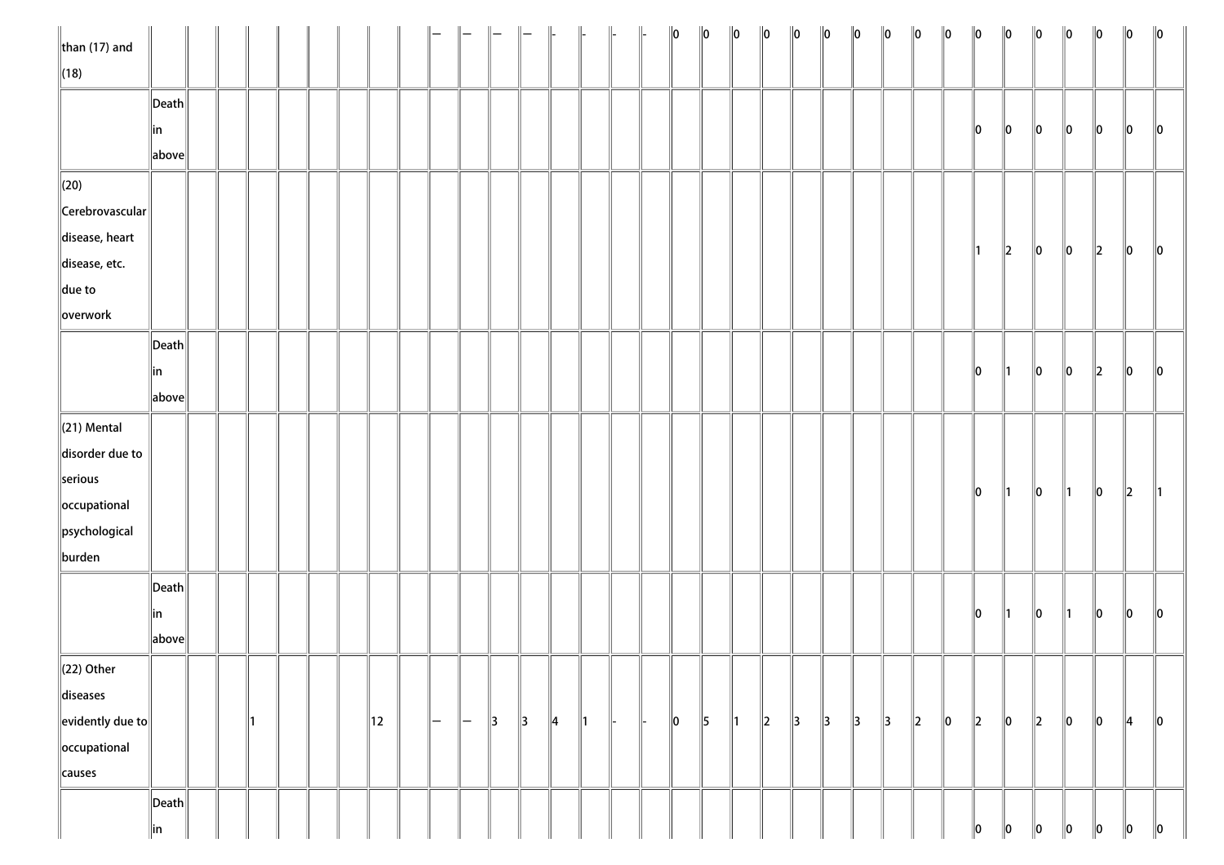| $\ $ than (17) and         |                       |  |  |  |    |               |               |               |               | $\parallel$   | $\parallel$   |  | $\ 0\ $ | $\ 0\ $       | $\ 0\ $       | $\ 0\ $ | $\ 0\ $       | $\ 0\ $       | $\ 0\ $       | $\ 0\ $       | $\ 0\ $ | $\ 0\ $ | $\ 0\ $       | $\ 0\ $       | $\ 0\ $ | $\ 0\ $       | $\ 0\ $ | $\ 0\ $       | $\ 0\ $       |
|----------------------------|-----------------------|--|--|--|----|---------------|---------------|---------------|---------------|---------------|---------------|--|---------|---------------|---------------|---------|---------------|---------------|---------------|---------------|---------|---------|---------------|---------------|---------|---------------|---------|---------------|---------------|
| $\ $ (18)                  |                       |  |  |  |    |               |               |               |               |               |               |  |         |               |               |         |               |               |               |               |         |         |               |               |         |               |         |               |               |
|                            | $\ $ Death $\ $       |  |  |  |    |               |               |               |               |               |               |  |         |               |               |         |               |               |               |               |         |         |               |               |         |               |         |               |               |
|                            | ∥in                   |  |  |  |    |               |               |               |               |               |               |  |         |               |               |         |               |               |               |               |         |         | 10            | $\ 0\ $       | $\ 0\ $ | 10            | 10      | 10            | $\parallel$ 0 |
|                            | above                 |  |  |  |    |               |               |               |               |               |               |  |         |               |               |         |               |               |               |               |         |         |               |               |         |               |         |               |               |
| $\ $ (20)                  |                       |  |  |  |    |               |               |               |               |               |               |  |         |               |               |         |               |               |               |               |         |         |               |               |         |               |         |               |               |
| $\ $ Cerebrovascular $\ $  |                       |  |  |  |    |               |               |               |               |               |               |  |         |               |               |         |               |               |               |               |         |         |               |               |         |               |         |               |               |
| disease, heart             |                       |  |  |  |    |               |               |               |               |               |               |  |         |               |               |         |               |               |               |               |         |         |               |               |         |               |         |               |               |
| disease, etc.              |                       |  |  |  |    |               |               |               |               |               |               |  |         |               |               |         |               |               |               |               |         |         | $\parallel$ 1 | $\ 2\ $       | $\ 0\ $ | $\ 0\ $       | $\ 2\ $ | $\ 0\ $       | $\ 0\ $       |
| $\ $ due to                |                       |  |  |  |    |               |               |               |               |               |               |  |         |               |               |         |               |               |               |               |         |         |               |               |         |               |         |               |               |
| overwork                   |                       |  |  |  |    |               |               |               |               |               |               |  |         |               |               |         |               |               |               |               |         |         |               |               |         |               |         |               |               |
|                            | $\vert$ Death $\vert$ |  |  |  |    |               |               |               |               |               |               |  |         |               |               |         |               |               |               |               |         |         |               |               |         |               |         |               |               |
|                            | in                    |  |  |  |    |               |               |               |               |               |               |  |         |               |               |         |               |               |               |               |         |         | $\parallel$ 0 | $\parallel$ 1 | $\ 0\ $ | $\ 0\ $       | $\ 2\ $ | 10            | $\parallel$ 0 |
|                            | above                 |  |  |  |    |               |               |               |               |               |               |  |         |               |               |         |               |               |               |               |         |         |               |               |         |               |         |               |               |
| $\ $ (21) Mental           |                       |  |  |  |    |               |               |               |               |               |               |  |         |               |               |         |               |               |               |               |         |         |               |               |         |               |         |               |               |
| disorder due to            |                       |  |  |  |    |               |               |               |               |               |               |  |         |               |               |         |               |               |               |               |         |         |               |               |         |               |         |               |               |
| serious                    |                       |  |  |  |    |               |               |               |               |               |               |  |         |               |               |         |               |               |               |               |         |         |               |               |         |               |         |               |               |
| occupational               |                       |  |  |  |    |               |               |               |               |               |               |  |         |               |               |         |               |               |               |               |         |         | $\ 0\ $       | $\parallel$ 1 | $\ 0\ $ | $\parallel$ 1 | $\ 0\ $ | $\vert$ 2     | ∥1            |
| psychological              |                       |  |  |  |    |               |               |               |               |               |               |  |         |               |               |         |               |               |               |               |         |         |               |               |         |               |         |               |               |
| burden                     |                       |  |  |  |    |               |               |               |               |               |               |  |         |               |               |         |               |               |               |               |         |         |               |               |         |               |         |               |               |
|                            | $\ $ Death $\ $       |  |  |  |    |               |               |               |               |               |               |  |         |               |               |         |               |               |               |               |         |         |               |               |         |               |         |               |               |
|                            | in                    |  |  |  |    |               |               |               |               |               |               |  |         |               |               |         |               |               |               |               |         |         | $\ 0\ $       | $\parallel$ 1 | $\ 0\ $ | $\parallel$ 1 | $\ 0\ $ | $ 0\rangle$   | $\ 0\ $       |
|                            | above                 |  |  |  |    |               |               |               |               |               |               |  |         |               |               |         |               |               |               |               |         |         |               |               |         |               |         |               |               |
| $\ $ (22) Other            |                       |  |  |  |    |               |               |               |               |               |               |  |         |               |               |         |               |               |               |               |         |         |               |               |         |               |         |               |               |
| diseases                   |                       |  |  |  |    |               |               |               |               |               |               |  |         |               |               |         |               |               |               |               |         |         |               |               |         |               |         |               |               |
| $\ $ evidently due to $\ $ |                       |  |  |  | 12 | $\overline{}$ | $\parallel -$ | $\parallel$ 3 | $\parallel$ 3 | $\parallel$ 4 | $\parallel$ 1 |  | $\ 0\ $ | $\parallel$ 5 | $\parallel$ 1 | $\ 2\ $ | $\parallel$ 3 | $\parallel$ 3 | $\parallel$ 3 | $\parallel$ 3 | $\ 2\ $ | $\ 0\ $ | $\ 2\ $       | $\ 0\ $       | $\ 2\ $ | $\ 0\ $       | $\ 0\ $ | $\parallel$ 4 | $\ 0\ $       |
| occupational               |                       |  |  |  |    |               |               |               |               |               |               |  |         |               |               |         |               |               |               |               |         |         |               |               |         |               |         |               |               |
| causes                     |                       |  |  |  |    |               |               |               |               |               |               |  |         |               |               |         |               |               |               |               |         |         |               |               |         |               |         |               |               |
|                            | $\vert$ Death $\vert$ |  |  |  |    |               |               |               |               |               |               |  |         |               |               |         |               |               |               |               |         |         |               |               |         |               |         |               |               |
|                            | in                    |  |  |  |    |               |               |               |               |               |               |  |         |               |               |         |               |               |               |               |         |         | 10            | 10            | 10      | 10            | 10      | 10            | $\ 0\ $       |